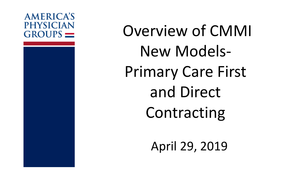#### **AMERICA'S PHYSICIAN**  $GROUPS$   $=$

Overview of CMMI New Models-Primary Care First and Direct Contracting

April 29, 2019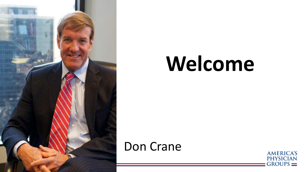

# **Welcome**

#### Don Crane

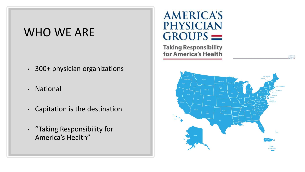#### WHO WE ARE

- 300+ physician organizations
- National
- Capitation is the destination
- "Taking Responsibility for America's Health"

#### **AMERICA'S PHYSICIAN**  $GROUPS$   $=$

**Taking Responsibility** for America's Health

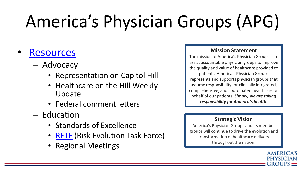# America's Physician Groups (APG)

#### **[Resources](https://www.apg.org/education/resources/)**

- Advocacy
	- Representation on Capitol Hill
	- Healthcare on the Hill Weekly Update
	- Federal comment letters
- Education
	- Standards of Excellence
	- [RETF](https://www.apg.org/news/apg-launches-new-task-force-aimed-at-developing-future-advanced-apms/) (Risk Evolution Task Force)
	- Regional Meetings

#### **Mission Statement**

The mission of America's Physician Groups is to assist accountable physician groups to improve the quality and value of healthcare provided to patients. America's Physician Groups represents and supports physician groups that assume responsibility for clinically integrated, comprehensive, and coordinated healthcare on behalf of our patients. *Simply, we are taking responsibility for America's health.*

#### **Strategic Vision**

America's Physician Groups and its member groups will continue to drive the evolution and transformation of healthcare delivery throughout the nation.

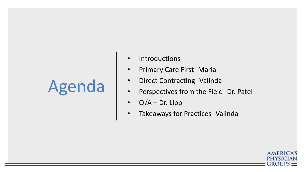## Agenda

- Introductions
- Primary Care First- Maria
- Direct Contracting- Valinda
- Perspectives from the Field- Dr. Patel
- $Q/A Dr.$  Lipp
- Takeaways for Practices- Valinda

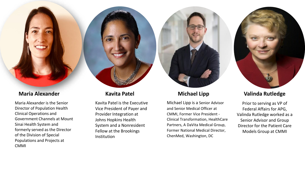Maria Alexander is the Senior Director of Population Health Clinical Operations and Government Channels at Mount Sinai Health System and formerly served as the Director of the Division of Special Populations and Projects at CMMI

Kavita Patel is the Executive Vice President of Payer and Provider Integration at Johns Hopkins Health System and a Nonresident Fellow at the Brookings Institution

#### **Michael Lipp**

Michael Lipp is a Senior Advisor and Senior Medical Officer at CMMI, Former Vice President - Clinical Transformation, HealthCare Partners, A DaVita Medical Group, Former National Medical Director, ChenMed, Washington, DC



Prior to serving as VP of Federal Affairs for APG, Valinda Rutledge worked as a Senior Advisor and Group Director for the Patient Care Models Group at CMMI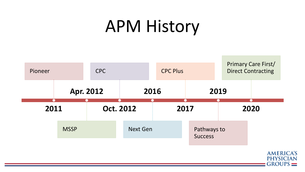### APM History

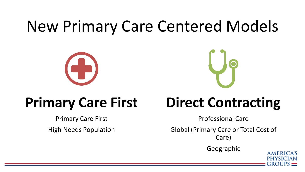#### New Primary Care Centered Models



#### **Primary Care First**

Primary Care First High Needs Population



#### **Direct Contracting**

Professional Care

Global (Primary Care or Total Cost of Care)

Geographic

**AMERICA'S**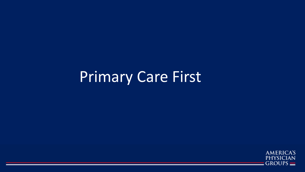#### Primary Care First

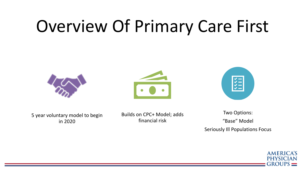### Overview Of Primary Care First







5 year voluntary model to begin in 2020

Builds on CPC+ Model; adds financial risk

Two Options: "Base" Model Seriously Ill Populations Focus

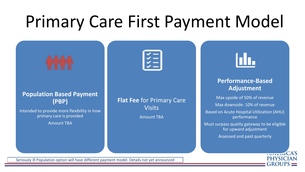# Primary Care First Payment Model

#### **Population Based Payment (PBP)**

Intended to provide more flexibility in how primary care is provided Amount TBA

**Flat Fee** for Primary Care **Visits** Amount TBA

#### **Performance-Based Adjustment**

Max upside of 50% of revenue Max downside: 10% of revenue Based on Acute Hospital Utilization (AHU) performance Must surpass quality gateway to be eligible for upward adjustment Assessed and paid quarterly



Seriously Ill Population option will have different payment model. Details not yet announced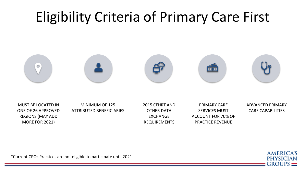#### Eligibility Criteria of Primary Care First



MUST BE LOCATED IN ONE OF 26 APPROVED REGIONS (MAY ADD MORE FOR 2021)

MINIMUM OF 125 ATTRIBUTED BENEFICIARIES 2015 CEHRT AND OTHER DATA **FXCHANGE** REQUIREMENTS

PRIMARY CARE SERVICES MUST ACCOUNT FOR 70% OF PRACTICE REVENUE

ADVANCED PRIMARY CARE CAPABILITIES

\*Current CPC+ Practices are not eligible to participate until 2021

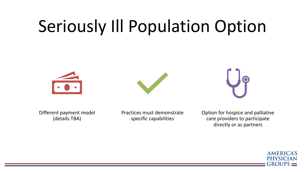## Seriously Ill Population Option







Different payment model (details TBA)

Practices must demonstrate specific capabilities

Option for hospice and palliative care providers to participate directly or as partners

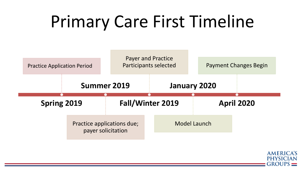## Primary Care First Timeline



**AMERICA'S PHYSICIAN**  $GROUPS \equiv$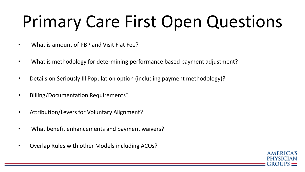# Primary Care First Open Questions

- What is amount of PBP and Visit Flat Fee?
- What is methodology for determining performance based payment adjustment?
- Details on Seriously Ill Population option (including payment methodology)?
- Billing/Documentation Requirements?
- Attribution/Levers for Voluntary Alignment?
- What benefit enhancements and payment waivers?
- Overlap Rules with other Models including ACOs?

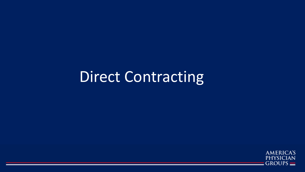#### Direct Contracting

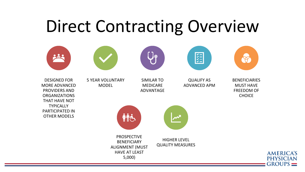#### Direct Contracting Overview

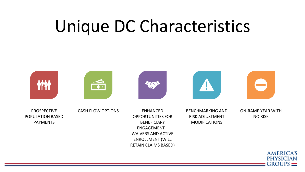### Unique DC Characteristics



PROSPECTIVE POPULATION BASED PAYMENTS

CASH FLOW OPTIONS ENHANCED

OPPORTUNITIES FOR BENEFICIARY ENGAGEMENT – WAIVERS AND ACTIVE ENROLLMENT (WILL RETAIN CLAIMS BASED) BENCHMARKING AND RISK ADJUSTMENT MODIFICATIONS

ON-RAMP YEAR WITH NO RISK

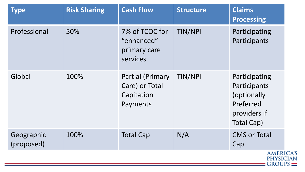| <b>Type</b>              | <b>Risk Sharing</b> | <b>Cash Flow</b>                                                    | <b>Structure</b> | <b>Claims</b><br><b>Processing</b>                                                      |
|--------------------------|---------------------|---------------------------------------------------------------------|------------------|-----------------------------------------------------------------------------------------|
| Professional             | 50%                 | 7% of TCOC for<br>"enhanced"<br>primary care<br>services            | TIN/NPI          | Participating<br>Participants                                                           |
| Global                   | 100%                | <b>Partial (Primary</b><br>Care) or Total<br>Capitation<br>Payments | TIN/NPI          | Participating<br>Participants<br>(optionally<br>Preferred<br>providers if<br>Total Cap) |
| Geographic<br>(proposed) | 100%                | <b>Total Cap</b>                                                    | N/A              | <b>CMS or Total</b><br>Cap                                                              |
|                          |                     | <b>AMERICA'S</b><br>PHYSICIAN<br>$GROUPS =$                         |                  |                                                                                         |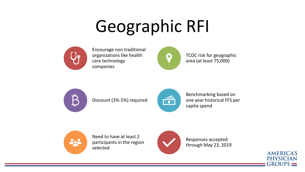# Geographic RFI



Encourage non traditional organizations like health care technology companies



TCOC risk for geographic area (at least 75,000)



Discount (3%-5%) required



Benchmarking based on one year historical FFS per capita spend



Need to have at least 2 participants in the region selected



Responses accepted through May 23, 2019

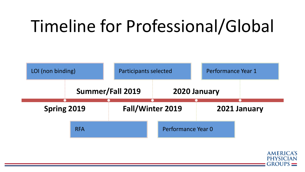# Timeline for Professional/Global



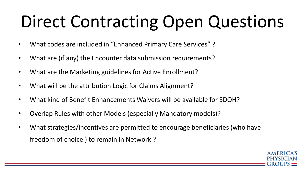# Direct Contracting Open Questions

- What codes are included in "Enhanced Primary Care Services" ?
- What are (if any) the Encounter data submission requirements?
- What are the Marketing guidelines for Active Enrollment?
- What will be the attribution Logic for Claims Alignment?
- What kind of Benefit Enhancements Waivers will be available for SDOH?
- Overlap Rules with other Models (especially Mandatory models)?
- What strategies/incentives are permitted to encourage beneficiaries (who have freedom of choice ) to remain in Network ?

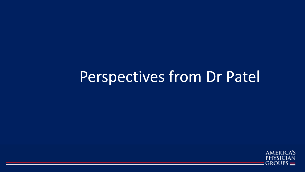#### Perspectives from Dr Patel

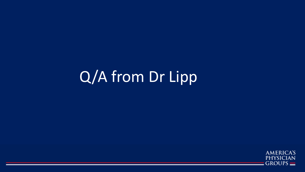#### Q/A from Dr Lipp

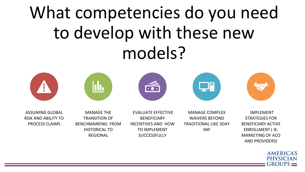# What competencies do you need to develop with these new models?









ASSUMING GLOBAL RISK AND ABILITY TO PROCESS CLAIMS

MANAGE THE TRANSITION OF BENCHMARKING FROM HISTORICAL TO REGIONAL

EVALUATE EFFECTIVE BENEFICIARY INCENTIVES AND HOW TO IMPLEMENT **SUCCESSFULLY** 

MANAGE COMPLEX WAIVERS BEYOND TRADITIONAL LIKE 3DAY SNF



IMPLEMENT STRATEGIES FOR BENEFICIARY ACTIVE ENROLLMENT ( IE. MARKETING OF ACO AND PROVIDERS)

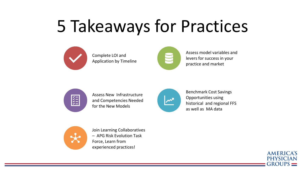# 5 Takeaways for Practices



Complete LOI and Application by Timeline



Assess model variables and levers for success in your practice and market



Assess New Infrastructure and Competencies Needed for the New Models



Benchmark Cost Savings Opportunities using historical and regional FFS as well as MA data



Join Learning Collaboratives – APG Risk Evolution Task Force, Learn from experienced practices!

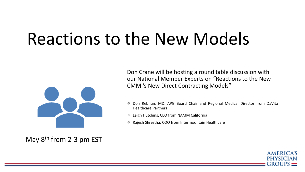#### Reactions to the New Models



May  $8<sup>th</sup>$  from 2-3 pm EST

Don Crane will be hosting a round table discussion with our National Member Experts on "Reactions to the New CMMI's New Direct Contracting Models"

- ❖ Don Rebhun, MD, APG Board Chair and Regional Medical Director from DaVita Healthcare Partners
- ❖ Leigh Hutchins, CEO from NAMM California
- ❖ Rajesh Shrestha, COO from Intermountain Healthcare

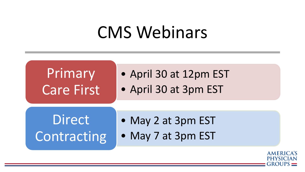#### CMS Webinars



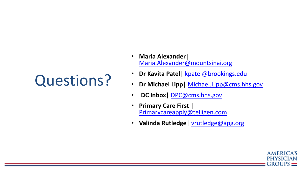#### Questions?

- **Maria Alexander**| [Maria.Alexander@mountsinai.org](mailto:Maria.Alexander@mountsinai.org)
- **Dr Kavita Patel**| [kpatel@brookings.edu](mailto:kpatel@brookings.edu)
- **Dr Michael Lipp**| [Michael.Lipp@cms.hhs.gov](mailto:Michael.Lipp@cms.hhs.gov)
- **DC Inbox**| [DPC@cms.hhs.gov](mailto:DPC@cms.hhs.gov)
- **Primary Care First** | [Primarycareapply@telligen.com](mailto:Primarycareapply@telligen.com)
- **Valinda Rutledge**| [vrutledge@apg.org](mailto:vrutledge@apg.org)